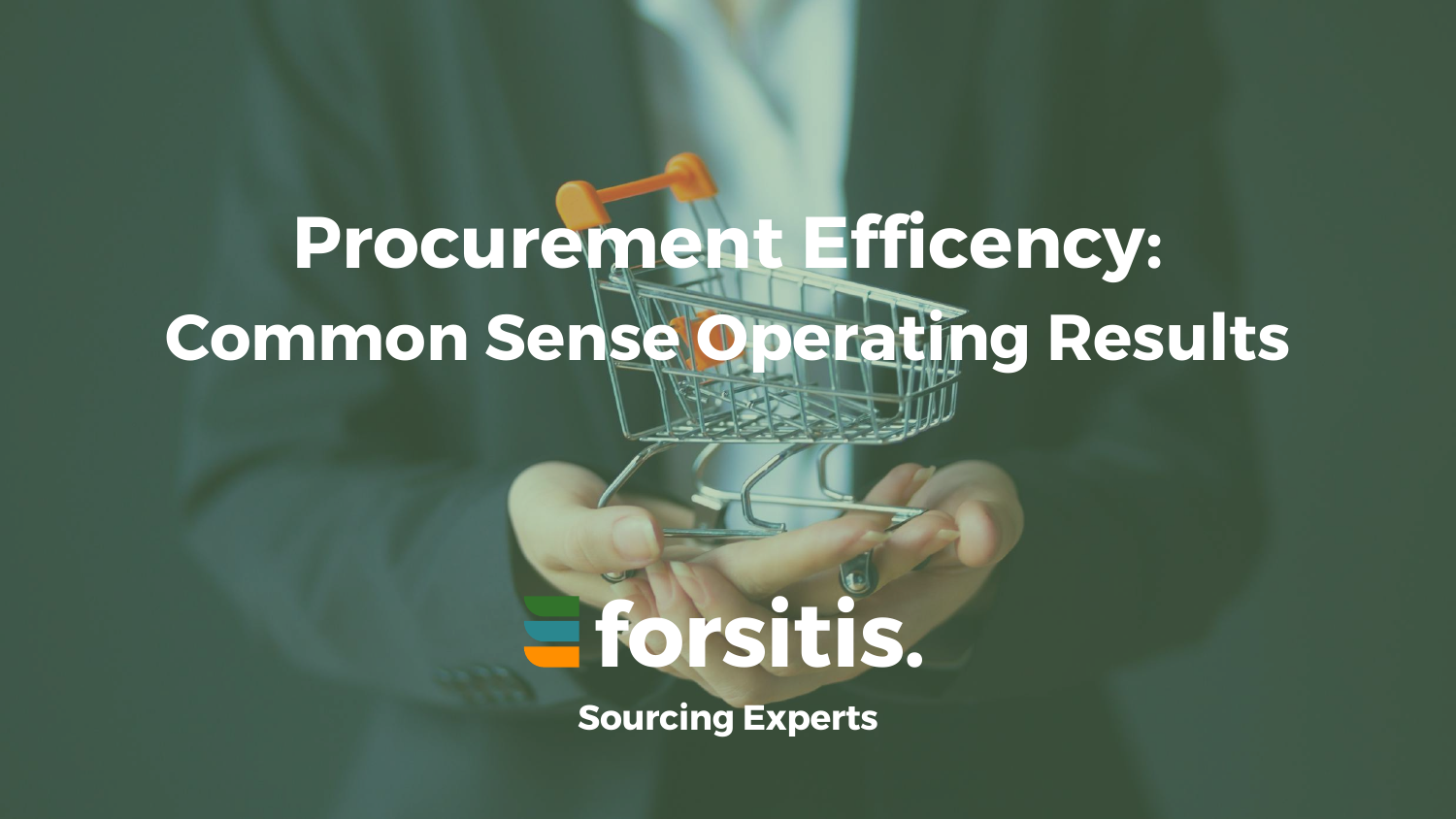# **forsitis.**

**Sourcing Experts**

# **Procurement Efficency: Common Sense Operating Results**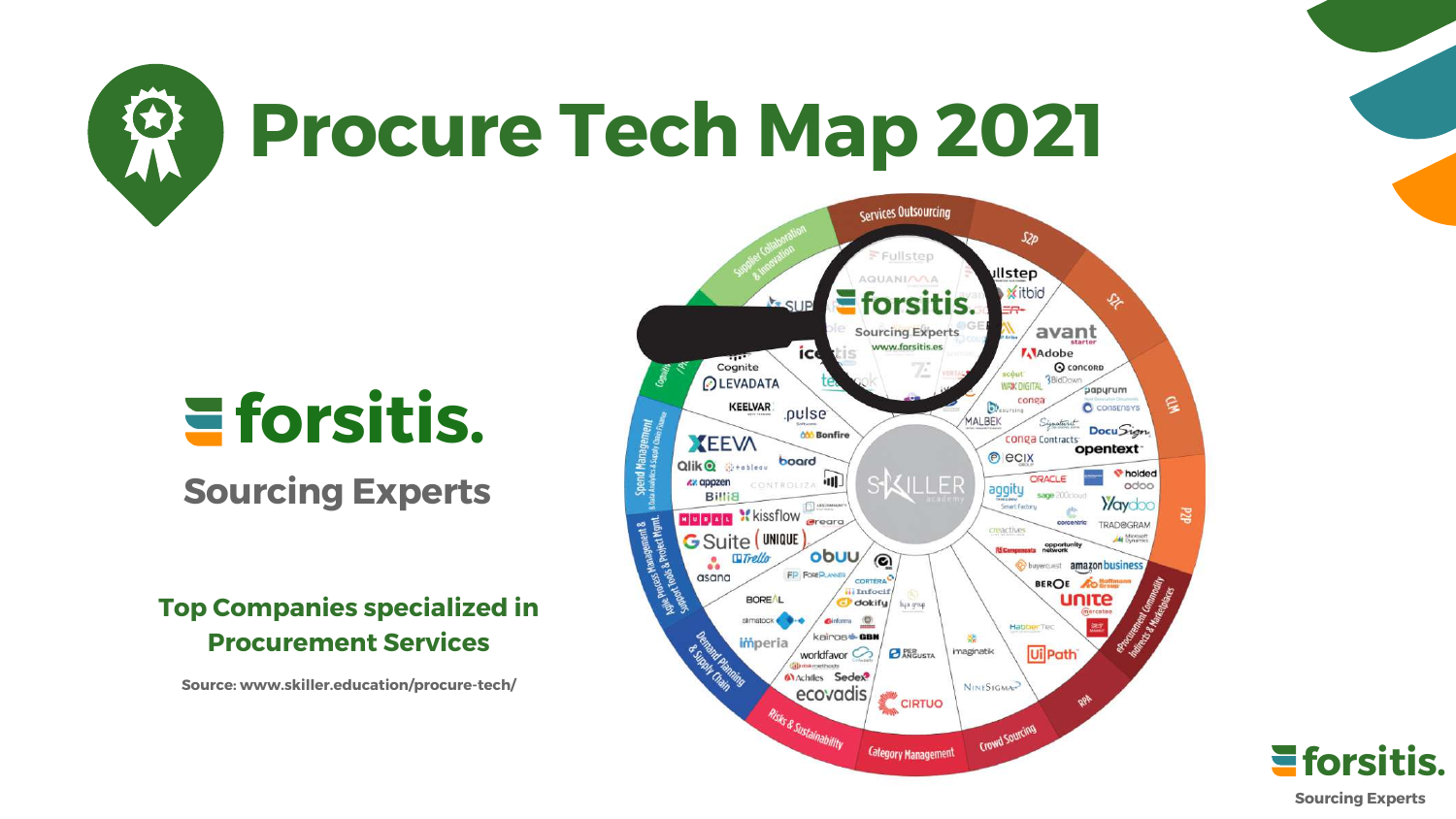## **forsitis. Sourcing Experts**





#### **Top Companies specialized in Procurement Services**

**Source: www.skiller.education/procure-tech/**

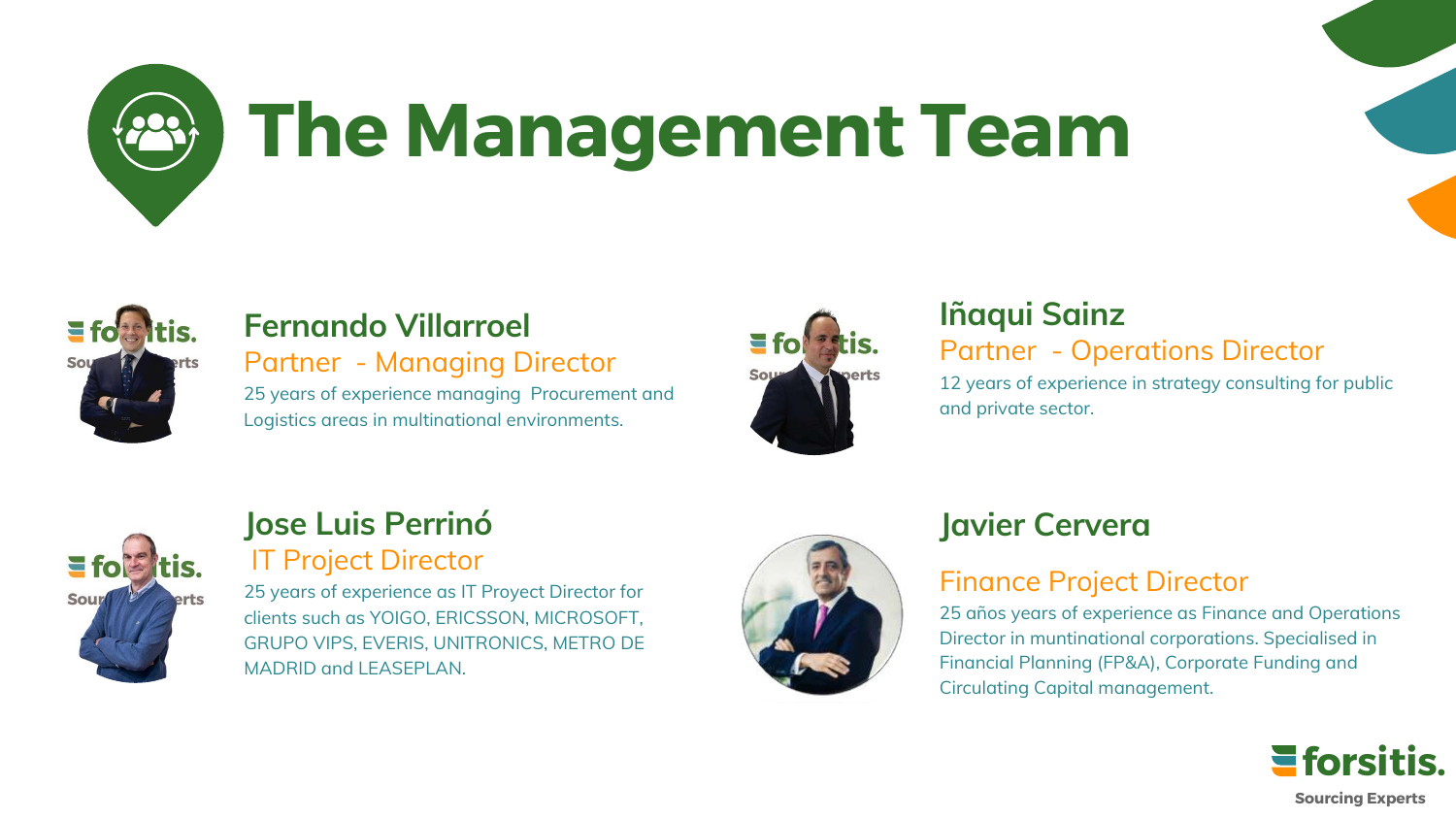#### **Javier Cervera**

#### Finance Project Director

25 años years of experience as Finance and Operations Director in muntinational corporations. Specialised in Financial Planning (FP&A), Corporate Funding and Circulating Capital management.

#### **Fernando Villarroel**

Partner - Managing Director

25 years of experience managing Procurement and Logistics areas in multinational environments.





#### **Iñaqui Sainz** Partner - Operations Director

12 years of experience in strategy consulting for public and private sector.

#### **Jose Luis Perrinó** IT Project Director

25 years of experience as IT Proyect Director for clients such as YOIGO, ERICSSON, MICROSOFT, GRUPO VIPS, EVERIS, UNITRONICS, METRO DE MADRID and LEASEPLAN.









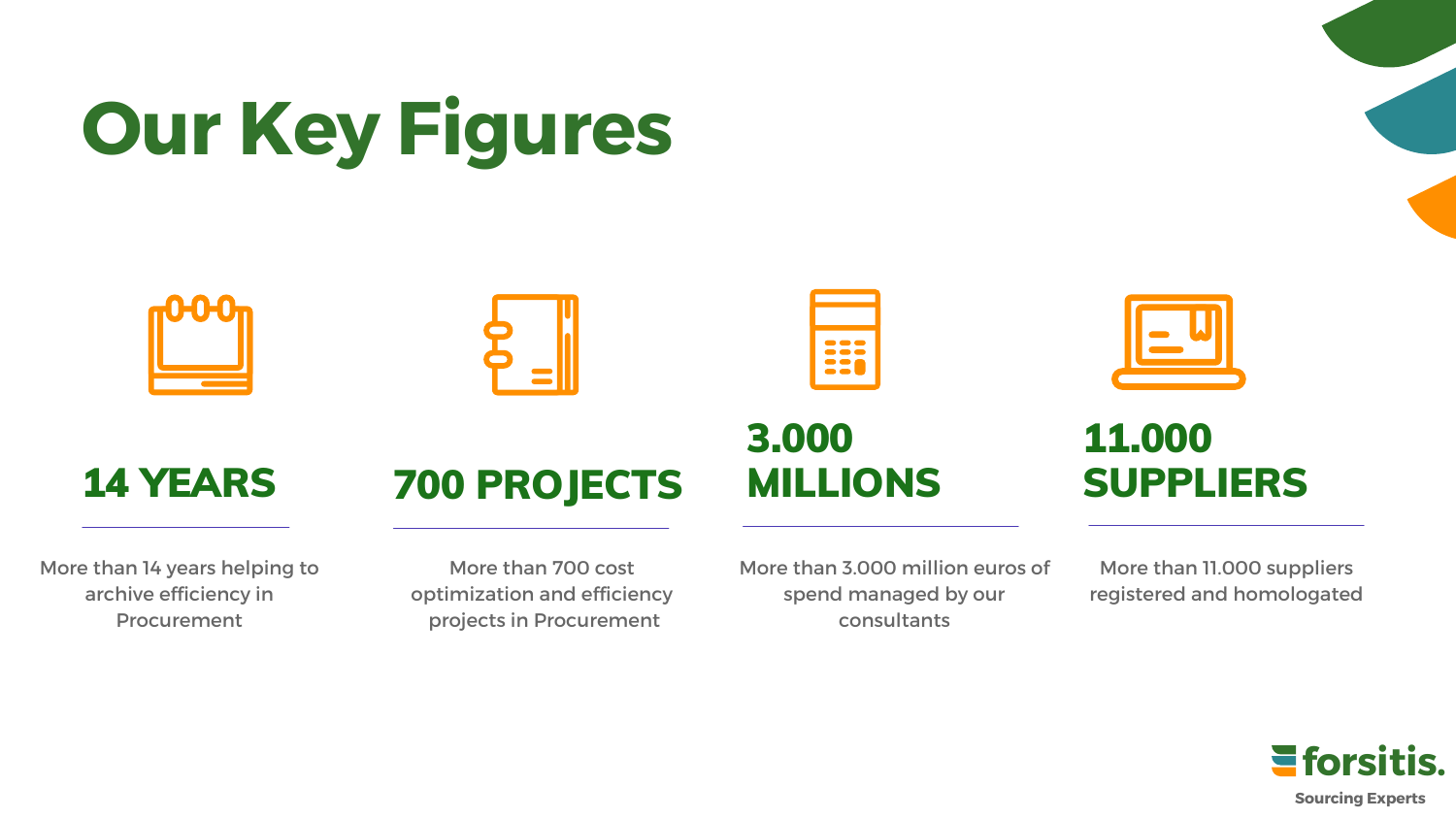## 700 PROJECTS

### 3.000 MILLIONS

# **Our Key Figures**







### 14 YEARS

11.000

SUPPLIERS

More than 14 years helping to archive efficiency in Procurement

More than 700 cost optimization and efficiency projects in Procurement

More than 3.000 million euros of spend managed by our consultants



More than 11.000 suppliers registered and homologated

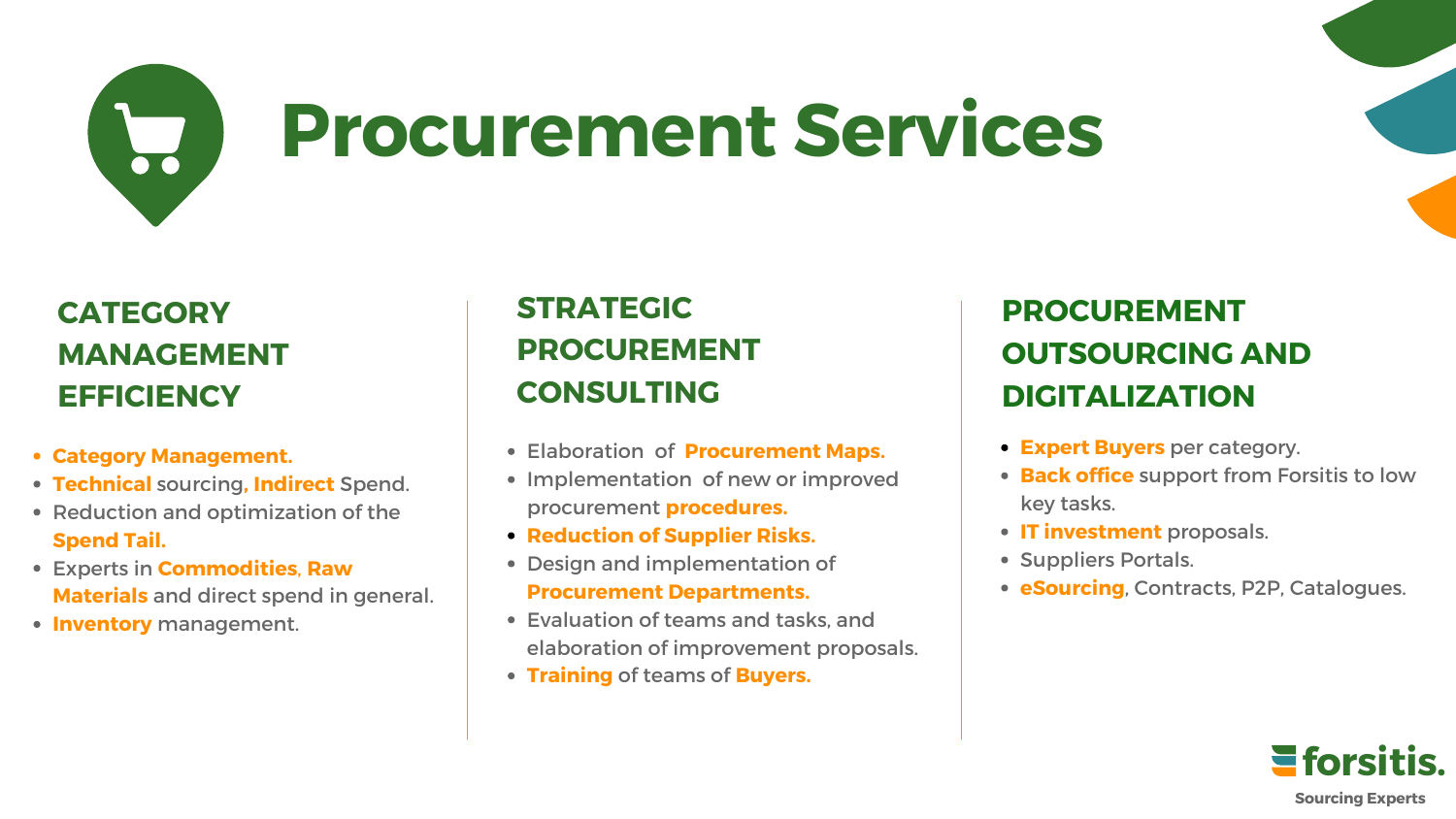

## **Procurement Services**

#### **PROCUREMENT OUTSOURCING AND DIGITALIZATION**

- **Category Management.**
- **Technical** sourcing**, Indirect** Spend.
- Reduction and optimization of the **Spend Tail.**
- Experts in **Commodities**, **Raw Materials** and direct spend in general.
- **Inventory** management.

#### **CATEGORY MANAGEMENT EFFICIENCY**

- Elaboration of **Procurement Maps.**
- Implementation of new or improved procurement **procedures.**
- **Reduction of Supplier Risks.**
- Design and implementation of **Procurement Departments.**
- Evaluation of teams and tasks, and elaboration of improvement proposals.
- **Training** of teams of **Buyers.**



#### **STRATEGIC PROCUREMENT CONSULTING**

- **Expert Buyers** per category.
- **Back office** support from Forsitis to low key tasks.
- **IT investment** proposals.
- Suppliers Portals.
- **eSourcing**, Contracts, P2P, Catalogues.

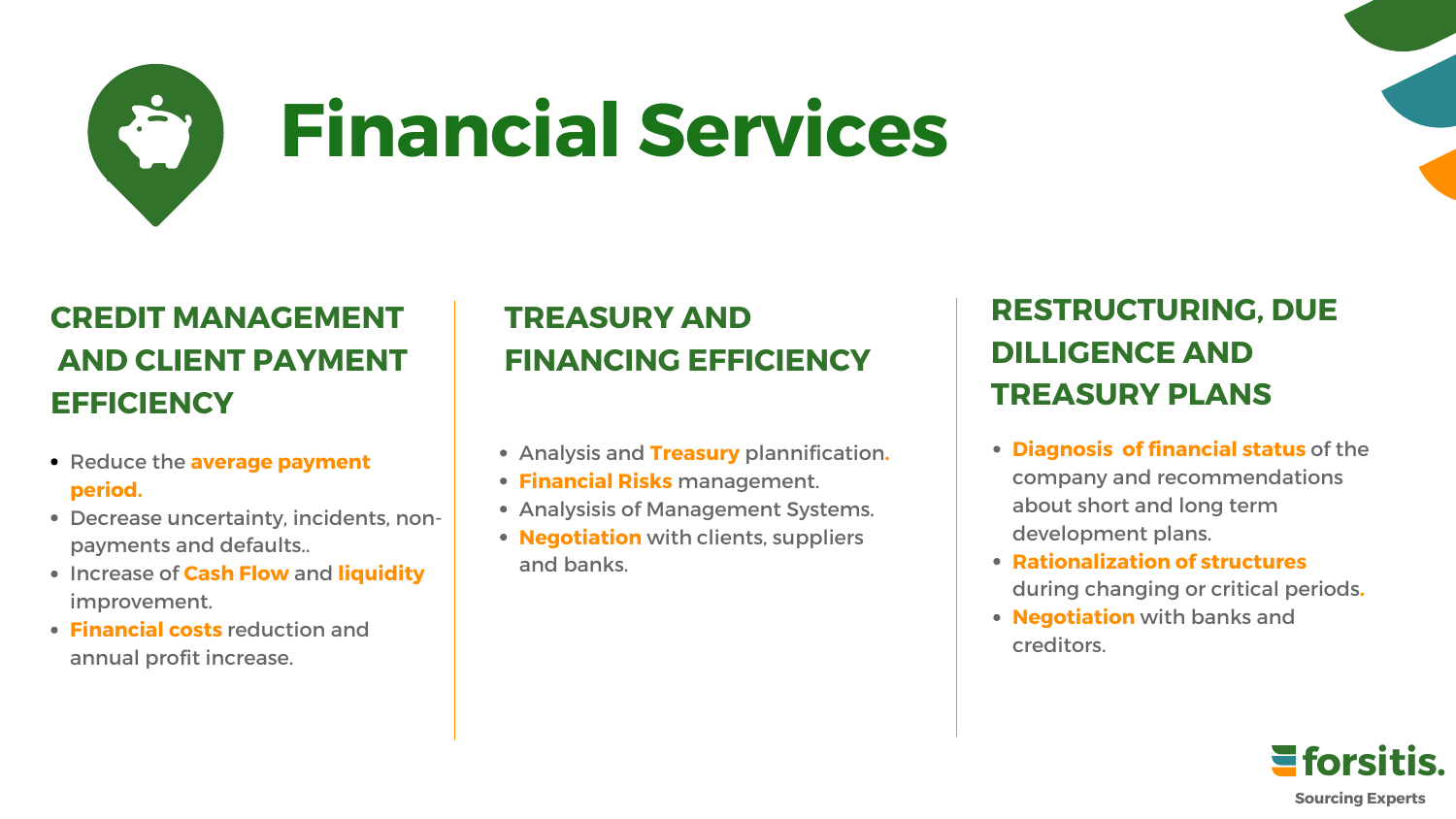

#### **RESTRUCTURING, DUE DILLIGENCE AND TREASURY PLANS**

- Reduce the **average payment period.**
- Decrease uncertainty, incidents, nonpayments and defaults..
- **Increase of Cash Flow and liquidity** improvement.
- **Financial costs** reduction and annual profit increase.

#### **CREDIT MANAGEMENT AND CLIENT PAYMENT EFFICIENCY**

- Analysis and **Treasury** plannification**.**
- **Financial Risks** management.
- Analysisis of Management Systems.
- **Negotiation** with clients, suppliers and banks.



#### **TREASURY AND FINANCING EFFICIENCY**

- **Diagnosis of financial status** of the company and recommendations about short and long term development plans.
- **Rationalization of structures** during changing or critical periods**.**
- **Negotiation** with banks and creditors.

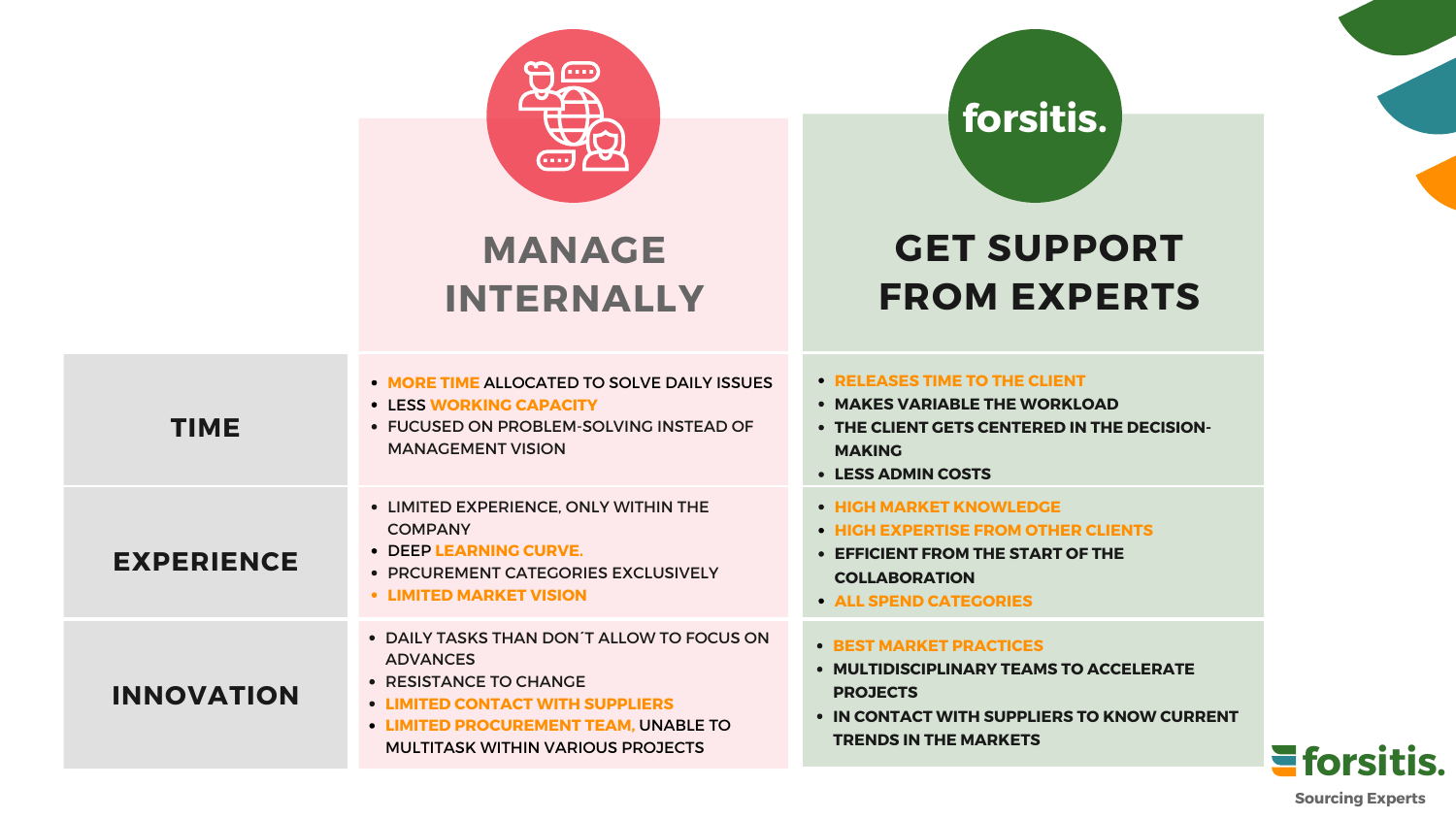### **GET SUPPORT FROM EXPERTS**

**MAKES VARIABLE THE WORKLOAD ENT GETS CENTERED IN THE DECISION-**

#### **RELEASES TIME TO THE CLIENT**

**MULTIDISCIPLINARY TEAMS TO ACCELERATE IN CONTACT WITH SUPPLIERS TO KNOW CURRENT IN THE MARKETS** 

#### **LESS ADMIN COSTS**

**HIGH MARKET KNOWLEDGE HIGH EXPERTISE FROM OTHER CLIENTS**

**EFFICIENT FROM THE START OF THE CORATION ALL SPEND CATEGORIES**

#### **RKET PRACTICES**

| <b>TIME</b>       | • MORE TIME ALLOCATED TO SOLVE DAILY ISSUES<br><b>• LESS WORKING CAPACITY</b><br>• FUCUSED ON PROBLEM-SOLVING INSTEAD OF<br><b>MANAGEMENT VISION</b>                                                                           | • RELEASES<br>• MAKES VA<br>• THE CLIENT<br><b>MAKING</b><br>• LESS ADMI                  |
|-------------------|--------------------------------------------------------------------------------------------------------------------------------------------------------------------------------------------------------------------------------|-------------------------------------------------------------------------------------------|
| <b>EXPERIENCE</b> | • LIMITED EXPERIENCE, ONLY WITHIN THE<br><b>COMPANY</b><br><b>DEEP LEARNING CURVE.</b><br>$\bullet$<br>• PRCUREMENT CATEGORIES EXCLUSIVELY<br><b>• LIMITED MARKET VISION</b>                                                   | • HIGH MARI<br>• HIGH EXPE<br><b>• EFFICIENT</b><br><b>COLLABOR</b><br><b>• ALL SPEND</b> |
| <b>INNOVATION</b> | • DAILY TASKS THAN DON'T ALLOW TO FOCUS ON<br><b>ADVANCES</b><br>• RESISTANCE TO CHANGE<br><b>• LIMITED CONTACT WITH SUPPLIERS</b><br><b>• LIMITED PROCUREMENT TEAM, UNABLE TO</b><br><b>MULTITASK WITHIN VARIOUS PROJECTS</b> | • BEST MARI<br>• MULTIDISC<br><b>PROJECTS</b><br><b>IN CONTAC</b><br><b>TRENDS IN</b>     |

### **forsitis.**



### **MANAGE INTERNALLY**



**Sourcing Experts**